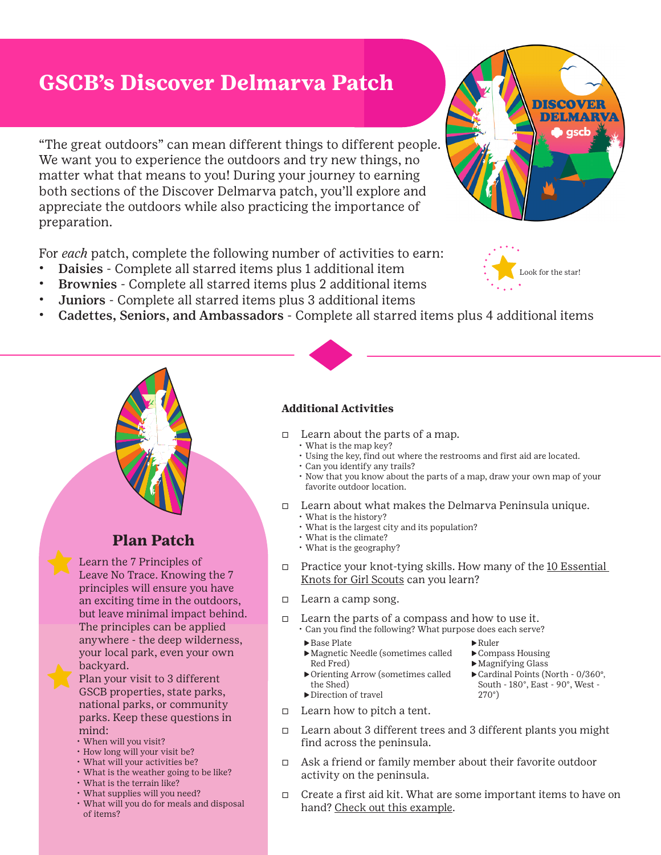# **GSCB's Discover Delmarva Patch**

"The great outdoors" can mean different things to different people. We want you to experience the outdoors and try new things, no matter what that means to you! During your journey to earning both sections of the Discover Delmarva patch, you'll explore and appreciate the outdoors while also practicing the importance of preparation.

For *each* patch, complete the following number of activities to earn:

- Daisies Complete all starred items plus 1 additional item
- Brownies Complete all starred items plus 2 additional items
- Juniors Complete all starred items plus 3 additional items
- Cadettes, Seniors, and Ambassadors Complete all starred items plus 4 additional items

### $\Box$  Learn about the parts of a map.

• What is the map key?

**Additional Activities**

- Using the key, find out where the restrooms and first aid are located.
- Can you identify any trails?
- Now that you know about the parts of a map, draw your own map of your favorite outdoor location.
- Ƒ Learn about what makes the Delmarva Peninsula unique. • What is the history?
	- What is the largest city and its population?
	- What is the climate?
	- What is the geography?
- $\Box$  Practice your knot-tying skills. How many of the 10 Essential [Knots for Girl Scouts](https://blog.girlscouts.org/2019/06/10-essential-knots-for-girl-scouts.html?utm_source=feedburner&utm_medium=feed&utm_campaign=Feed:+girlscouts/rGjB+(Girl+Scout+Blog) can you learn?
- □ Learn a camp song.
- Ƒ Learn the parts of a compass and how to use it. • Can you find the following? What purpose does each serve?
	- ▶Base Plate
	- ▶Magnetic Needle (sometimes called Red Fred)
	- ▶Orienting Arrow (sometimes called the Shed)
- $\Box$  Learn how to pitch a tent.
- Ƒ Learn about 3 different trees and 3 different plants you might find across the peninsula.
- $\Box$  Ask a friend or family member about their favorite outdoor activity on the peninsula.
- Ƒ Create a first aid kit. What are some important items to have on hand? [Check out this example](https://www.redcross.org/get-help/how-to-prepare-for-emergencies/anatomy-of-a-first-aid-kit.html).

- ▶Direction of travel
- Leave No Trace. Knowing the 7 principles will ensure you have an exciting time in the outdoors, but leave minimal impact behind. The principles can be applied

anywhere - the deep wilderness, your local park, even your own backyard.

• Plan your visit to 3 different GSCB properties, state parks, national parks, or community parks. Keep these questions in mind:

- When will you visit?
- How long will your visit be?
- What will your activities be?
- What is the weather going to be like?
- What is the terrain like?
- What supplies will you need?
- What will you do for meals and disposal of items?





**Plan Patch**

Learn the 7 Principles of



- 
- 
- South 180°, East 90°, West 270°)
- 

- ▶Ruler
- 
- ▶Compass Housing
- 
- ▶Magnifying Glass ▶Cardinal Points (North - 0/360°,